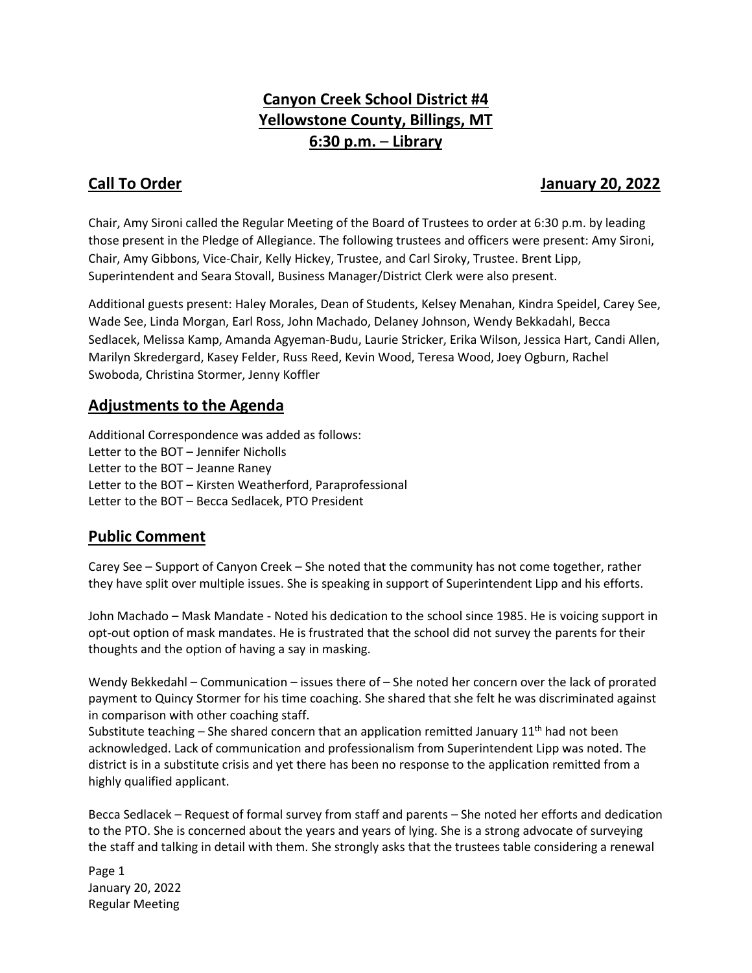# **Canyon Creek School District #4 Yellowstone County, Billings, MT 6:30 p.m.** – **Library**

## **Call To Order Gall To Order According to the United States of the United States Call To Order According to the U**

Chair, Amy Sironi called the Regular Meeting of the Board of Trustees to order at 6:30 p.m. by leading those present in the Pledge of Allegiance. The following trustees and officers were present: Amy Sironi, Chair, Amy Gibbons, Vice-Chair, Kelly Hickey, Trustee, and Carl Siroky, Trustee. Brent Lipp, Superintendent and Seara Stovall, Business Manager/District Clerk were also present.

Additional guests present: Haley Morales, Dean of Students, Kelsey Menahan, Kindra Speidel, Carey See, Wade See, Linda Morgan, Earl Ross, John Machado, Delaney Johnson, Wendy Bekkadahl, Becca Sedlacek, Melissa Kamp, Amanda Agyeman-Budu, Laurie Stricker, Erika Wilson, Jessica Hart, Candi Allen, Marilyn Skredergard, Kasey Felder, Russ Reed, Kevin Wood, Teresa Wood, Joey Ogburn, Rachel Swoboda, Christina Stormer, Jenny Koffler

## **Adjustments to the Agenda**

Additional Correspondence was added as follows: Letter to the BOT – Jennifer Nicholls Letter to the BOT – Jeanne Raney Letter to the BOT – Kirsten Weatherford, Paraprofessional Letter to the BOT – Becca Sedlacek, PTO President

## **Public Comment**

Carey See – Support of Canyon Creek – She noted that the community has not come together, rather they have split over multiple issues. She is speaking in support of Superintendent Lipp and his efforts.

John Machado – Mask Mandate - Noted his dedication to the school since 1985. He is voicing support in opt-out option of mask mandates. He is frustrated that the school did not survey the parents for their thoughts and the option of having a say in masking.

Wendy Bekkedahl – Communication – issues there of – She noted her concern over the lack of prorated payment to Quincy Stormer for his time coaching. She shared that she felt he was discriminated against in comparison with other coaching staff.

Substitute teaching – She shared concern that an application remitted January  $11<sup>th</sup>$  had not been acknowledged. Lack of communication and professionalism from Superintendent Lipp was noted. The district is in a substitute crisis and yet there has been no response to the application remitted from a highly qualified applicant.

Becca Sedlacek – Request of formal survey from staff and parents – She noted her efforts and dedication to the PTO. She is concerned about the years and years of lying. She is a strong advocate of surveying the staff and talking in detail with them. She strongly asks that the trustees table considering a renewal

Page 1 January 20, 2022 Regular Meeting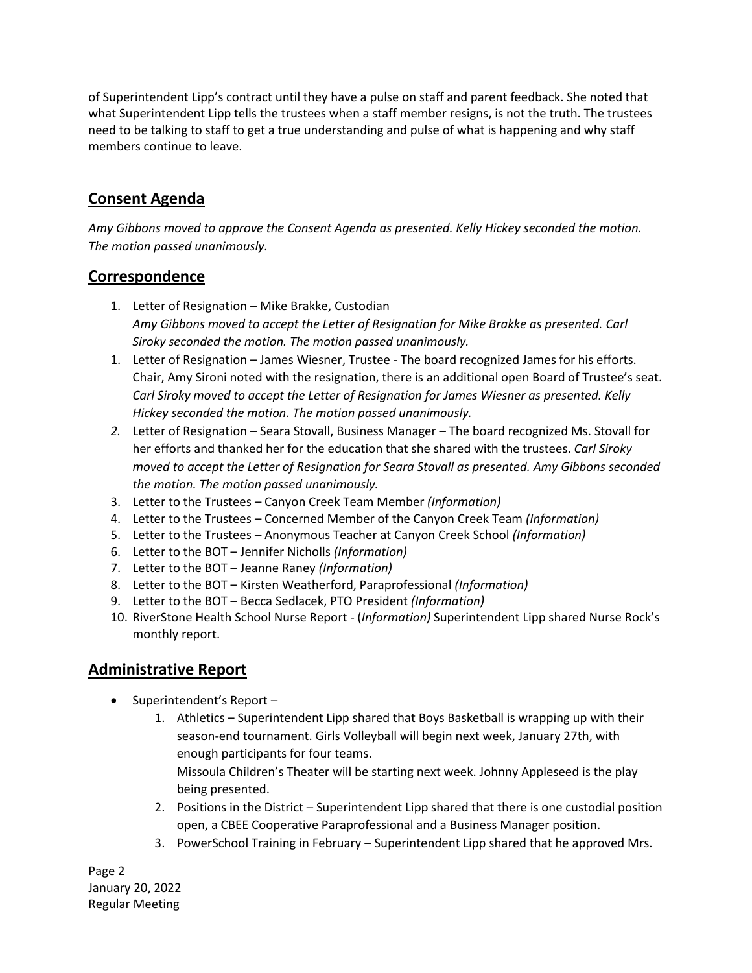of Superintendent Lipp's contract until they have a pulse on staff and parent feedback. She noted that what Superintendent Lipp tells the trustees when a staff member resigns, is not the truth. The trustees need to be talking to staff to get a true understanding and pulse of what is happening and why staff members continue to leave.

# **Consent Agenda**

*Amy Gibbons moved to approve the Consent Agenda as presented. Kelly Hickey seconded the motion. The motion passed unanimously.* 

## **Correspondence**

- 1. Letter of Resignation Mike Brakke, Custodian *Amy Gibbons moved to accept the Letter of Resignation for Mike Brakke as presented. Carl Siroky seconded the motion. The motion passed unanimously.*
- 1. Letter of Resignation James Wiesner, Trustee The board recognized James for his efforts. Chair, Amy Sironi noted with the resignation, there is an additional open Board of Trustee's seat. *Carl Siroky moved to accept the Letter of Resignation for James Wiesner as presented. Kelly Hickey seconded the motion. The motion passed unanimously.*
- *2.* Letter of Resignation Seara Stovall, Business Manager The board recognized Ms. Stovall for her efforts and thanked her for the education that she shared with the trustees. *Carl Siroky moved to accept the Letter of Resignation for Seara Stovall as presented. Amy Gibbons seconded the motion. The motion passed unanimously.*
- 3. Letter to the Trustees Canyon Creek Team Member *(Information)*
- 4. Letter to the Trustees Concerned Member of the Canyon Creek Team *(Information)*
- 5. Letter to the Trustees Anonymous Teacher at Canyon Creek School *(Information)*
- 6. Letter to the BOT Jennifer Nicholls *(Information)*
- 7. Letter to the BOT Jeanne Raney *(Information)*
- 8. Letter to the BOT Kirsten Weatherford, Paraprofessional *(Information)*
- 9. Letter to the BOT Becca Sedlacek, PTO President *(Information)*
- 10. RiverStone Health School Nurse Report (*Information)* Superintendent Lipp shared Nurse Rock's monthly report.

### **Administrative Report**

- Superintendent's Report -
	- 1. Athletics Superintendent Lipp shared that Boys Basketball is wrapping up with their season-end tournament. Girls Volleyball will begin next week, January 27th, with enough participants for four teams.

Missoula Children's Theater will be starting next week. Johnny Appleseed is the play being presented.

- 2. Positions in the District Superintendent Lipp shared that there is one custodial position open, a CBEE Cooperative Paraprofessional and a Business Manager position.
- 3. PowerSchool Training in February Superintendent Lipp shared that he approved Mrs.

Page 2 January 20, 2022 Regular Meeting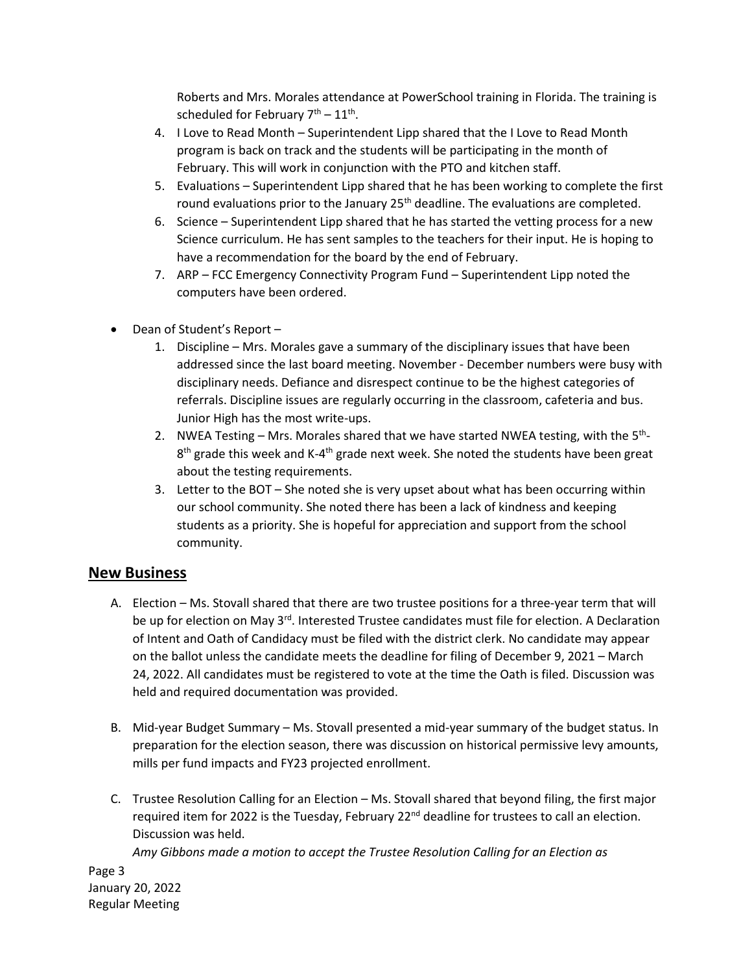Roberts and Mrs. Morales attendance at PowerSchool training in Florida. The training is scheduled for February  $7<sup>th</sup> - 11<sup>th</sup>$ .

- 4. I Love to Read Month Superintendent Lipp shared that the I Love to Read Month program is back on track and the students will be participating in the month of February. This will work in conjunction with the PTO and kitchen staff.
- 5. Evaluations Superintendent Lipp shared that he has been working to complete the first round evaluations prior to the January  $25<sup>th</sup>$  deadline. The evaluations are completed.
- 6. Science Superintendent Lipp shared that he has started the vetting process for a new Science curriculum. He has sent samples to the teachers for their input. He is hoping to have a recommendation for the board by the end of February.
- 7. ARP FCC Emergency Connectivity Program Fund Superintendent Lipp noted the computers have been ordered.
- Dean of Student's Report
	- 1. Discipline Mrs. Morales gave a summary of the disciplinary issues that have been addressed since the last board meeting. November - December numbers were busy with disciplinary needs. Defiance and disrespect continue to be the highest categories of referrals. Discipline issues are regularly occurring in the classroom, cafeteria and bus. Junior High has the most write-ups.
	- 2. NWEA Testing Mrs. Morales shared that we have started NWEA testing, with the 5<sup>th</sup>-8<sup>th</sup> grade this week and K-4<sup>th</sup> grade next week. She noted the students have been great about the testing requirements.
	- 3. Letter to the BOT She noted she is very upset about what has been occurring within our school community. She noted there has been a lack of kindness and keeping students as a priority. She is hopeful for appreciation and support from the school community.

#### **New Business**

- A. Election Ms. Stovall shared that there are two trustee positions for a three-year term that will be up for election on May 3<sup>rd</sup>. Interested Trustee candidates must file for election. A Declaration of Intent and Oath of Candidacy must be filed with the district clerk. No candidate may appear on the ballot unless the candidate meets the deadline for filing of December 9, 2021 – March 24, 2022. All candidates must be registered to vote at the time the Oath is filed. Discussion was held and required documentation was provided.
- B. Mid-year Budget Summary Ms. Stovall presented a mid-year summary of the budget status. In preparation for the election season, there was discussion on historical permissive levy amounts, mills per fund impacts and FY23 projected enrollment.
- C. Trustee Resolution Calling for an Election Ms. Stovall shared that beyond filing, the first major required item for 2022 is the Tuesday, February 22<sup>nd</sup> deadline for trustees to call an election. Discussion was held.

*Amy Gibbons made a motion to accept the Trustee Resolution Calling for an Election as* 

Page 3 January 20, 2022 Regular Meeting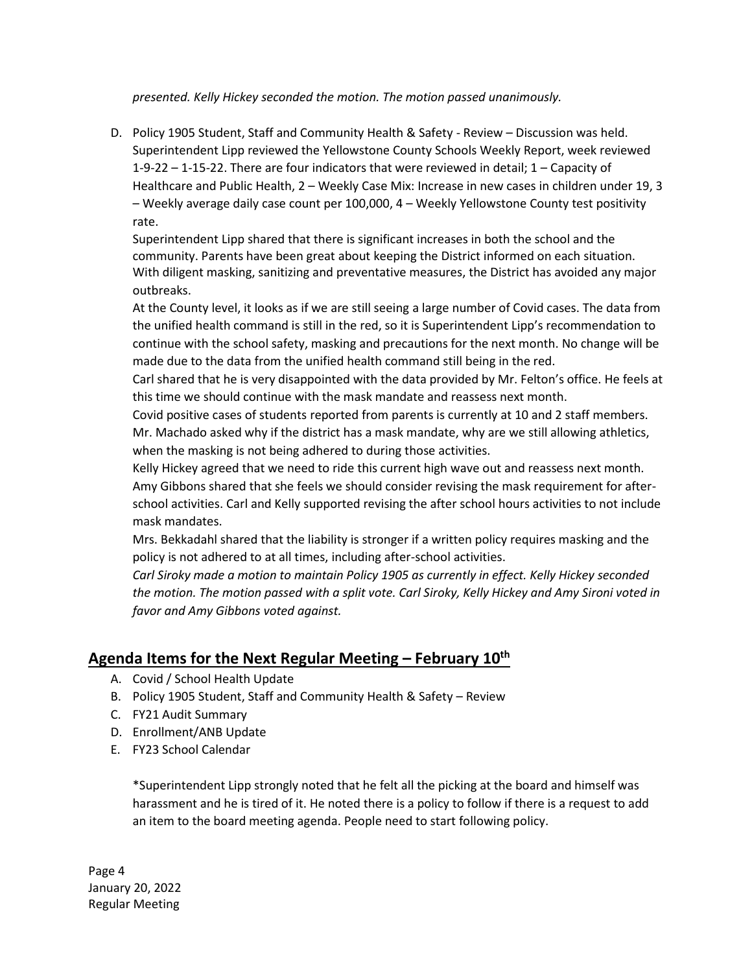*presented. Kelly Hickey seconded the motion. The motion passed unanimously.*

D. Policy 1905 Student, Staff and Community Health & Safety - Review – Discussion was held. Superintendent Lipp reviewed the Yellowstone County Schools Weekly Report, week reviewed 1-9-22 – 1-15-22. There are four indicators that were reviewed in detail; 1 – Capacity of Healthcare and Public Health, 2 – Weekly Case Mix: Increase in new cases in children under 19, 3 – Weekly average daily case count per 100,000, 4 – Weekly Yellowstone County test positivity rate.

Superintendent Lipp shared that there is significant increases in both the school and the community. Parents have been great about keeping the District informed on each situation. With diligent masking, sanitizing and preventative measures, the District has avoided any major outbreaks.

At the County level, it looks as if we are still seeing a large number of Covid cases. The data from the unified health command is still in the red, so it is Superintendent Lipp's recommendation to continue with the school safety, masking and precautions for the next month. No change will be made due to the data from the unified health command still being in the red.

Carl shared that he is very disappointed with the data provided by Mr. Felton's office. He feels at this time we should continue with the mask mandate and reassess next month.

Covid positive cases of students reported from parents is currently at 10 and 2 staff members. Mr. Machado asked why if the district has a mask mandate, why are we still allowing athletics, when the masking is not being adhered to during those activities.

Kelly Hickey agreed that we need to ride this current high wave out and reassess next month. Amy Gibbons shared that she feels we should consider revising the mask requirement for afterschool activities. Carl and Kelly supported revising the after school hours activities to not include mask mandates.

Mrs. Bekkadahl shared that the liability is stronger if a written policy requires masking and the policy is not adhered to at all times, including after-school activities.

*Carl Siroky made a motion to maintain Policy 1905 as currently in effect. Kelly Hickey seconded the motion. The motion passed with a split vote. Carl Siroky, Kelly Hickey and Amy Sironi voted in favor and Amy Gibbons voted against.*

#### **Agenda Items for the Next Regular Meeting – February 10th**

- A. Covid / School Health Update
- B. Policy 1905 Student, Staff and Community Health & Safety Review
- C. FY21 Audit Summary
- D. Enrollment/ANB Update
- E. FY23 School Calendar

\*Superintendent Lipp strongly noted that he felt all the picking at the board and himself was harassment and he is tired of it. He noted there is a policy to follow if there is a request to add an item to the board meeting agenda. People need to start following policy.

Page 4 January 20, 2022 Regular Meeting